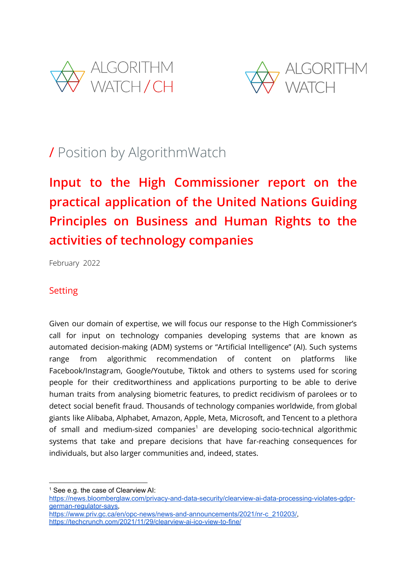



## / Position by AlgorithmWatch

# **Input to the High Commissioner report on the practical application of the United Nations Guiding Principles on Business and Human Rights to the activities of technology companies**

February 2022

## Setting

Given our domain of expertise, we will focus our response to the High Commissioner's call for input on technology companies developing systems that are known as automated decision-making (ADM) systems or "Artificial Intelligence" (AI). Such systems range from algorithmic recommendation of content on platforms like Facebook/Instagram, Google/Youtube, Tiktok and others to systems used for scoring people for their creditworthiness and applications purporting to be able to derive human traits from analysing biometric features, to predict recidivism of parolees or to detect social benefit fraud. Thousands of technology companies worldwide, from global giants like Alibaba, Alphabet, Amazon, Apple, Meta, Microsoft, and Tencent to a plethora of small and medium-sized companies<sup>1</sup> are developing socio-technical algorithmic systems that take and prepare decisions that have far-reaching consequences for individuals, but also larger communities and, indeed, states.

 $<sup>1</sup>$  See e.g. the case of Clearview AI:</sup>

[https://news.bloomberglaw.com/privacy-and-data-security/clearview-ai-data-processing-violates-gdpr](https://news.bloomberglaw.com/privacy-and-data-security/clearview-ai-data-processing-violates-gdpr-german-regulator-says)[german-regulator-says,](https://news.bloomberglaw.com/privacy-and-data-security/clearview-ai-data-processing-violates-gdpr-german-regulator-says)

[https://www.priv.gc.ca/en/opc-news/news-and-announcements/2021/nr-c\\_210203/,](https://www.priv.gc.ca/en/opc-news/news-and-announcements/2021/nr-c_210203/) <https://techcrunch.com/2021/11/29/clearview-ai-ico-view-to-fine/>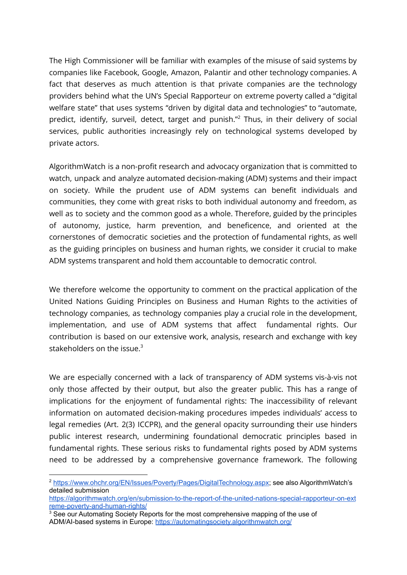The High Commissioner will be familiar with examples of the misuse of said systems by companies like Facebook, Google, Amazon, Palantir and other technology companies. A fact that deserves as much attention is that private companies are the technology providers behind what the UN's Special Rapporteur on extreme poverty called a "digital welfare state" that uses systems "driven by digital data and technologies" to "automate, predict, identify, surveil, detect, target and punish." Thus, in their delivery of social services, public authorities increasingly rely on technological systems developed by private actors.

AlgorithmWatch is a non-profit research and advocacy organization that is committed to watch, unpack and analyze automated decision-making (ADM) systems and their impact on society. While the prudent use of ADM systems can benefit individuals and communities, they come with great risks to both individual autonomy and freedom, as well as to society and the common good as a whole. Therefore, guided by the principles of autonomy, justice, harm prevention, and beneficence, and oriented at the cornerstones of democratic societies and the protection of fundamental rights, as well as the guiding principles on business and human rights, we consider it crucial to make ADM systems transparent and hold them accountable to democratic control.

We therefore welcome the opportunity to comment on the practical application of the United Nations Guiding Principles on Business and Human Rights to the activities of technology companies, as technology companies play a crucial role in the development, implementation, and use of ADM systems that affect fundamental rights. Our contribution is based on our extensive work, analysis, research and exchange with key stakeholders on the issue. 3

We are especially concerned with a lack of transparency of ADM systems vis-à-vis not only those affected by their output, but also the greater public. This has a range of implications for the enjoyment of fundamental rights: The inaccessibility of relevant information on automated decision-making procedures impedes individuals' access to legal remedies (Art. 2(3) ICCPR), and the general opacity surrounding their use hinders public interest research, undermining foundational democratic principles based in fundamental rights. These serious risks to fundamental rights posed by ADM systems need to be addressed by a comprehensive governance framework. The following

<sup>2</sup> <https://www.ohchr.org/EN/Issues/Poverty/Pages/DigitalTechnology.aspx>; see also AlgorithmWatch's detailed submission

[https://algorithmwatch.org/en/submission-to-the-report-of-the-united-nations-special-rapporteur-on-ext](https://algorithmwatch.org/en/submission-to-the-report-of-the-united-nations-special-rapporteur-on-extreme-poverty-and-human-rights/) [reme-poverty-and-human-rights/](https://algorithmwatch.org/en/submission-to-the-report-of-the-united-nations-special-rapporteur-on-extreme-poverty-and-human-rights/)

<sup>&</sup>lt;sup>3</sup> See our Automating Society Reports for the most comprehensive mapping of the use of ADM/AI-based systems in Europe: <https://automatingsociety.algorithmwatch.org/>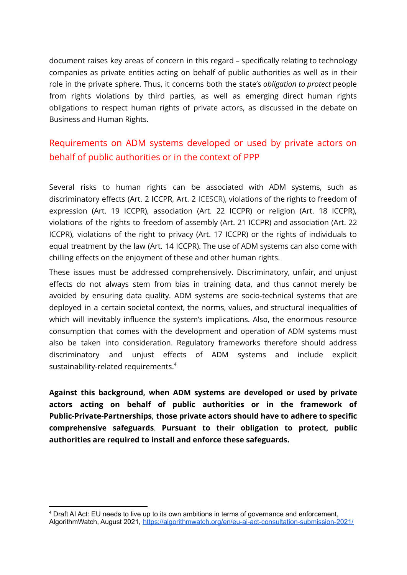document raises key areas of concern in this regard – specifically relating to technology companies as private entities acting on behalf of public authorities as well as in their role in the private sphere. Thus, it concerns both the state's *obligation to protect* people from rights violations by third parties, as well as emerging direct human rights obligations to respect human rights of private actors, as discussed in the debate on Business and Human Rights.

## Requirements on ADM systems developed or used by private actors on behalf of public authorities or in the context of PPP

Several risks to human rights can be associated with ADM systems, such as discriminatory effects (Art. 2 ICCPR, Art. 2 ICESCR), violations of the rights to freedom of expression (Art. 19 ICCPR), association (Art. 22 ICCPR) or religion (Art. 18 ICCPR), violations of the rights to freedom of assembly (Art. 21 ICCPR) and association (Art. 22 ICCPR), violations of the right to privacy (Art. 17 ICCPR) or the rights of individuals to equal treatment by the law (Art. 14 ICCPR). The use of ADM systems can also come with chilling effects on the enjoyment of these and other human rights.

These issues must be addressed comprehensively. Discriminatory, unfair, and unjust effects do not always stem from bias in training data, and thus cannot merely be avoided by ensuring data quality. ADM systems are socio-technical systems that are deployed in a certain societal context, the norms, values, and structural inequalities of which will inevitably influence the system's implications. Also, the enormous resource consumption that comes with the development and operation of ADM systems must also be taken into consideration. Regulatory frameworks therefore should address discriminatory and unjust effects of ADM systems and include explicit sustainability-related requirements. $^4$ 

**Against this background, when ADM systems are developed or used by private actors acting on behalf of public authorities or in the framework of Public-Private-Partnerships**, **those private actors should have to adhere to specific comprehensive safeguards**. **Pursuant to their obligation to protect, public authorities are required to install and enforce these safeguards.**

<sup>4</sup> Draft AI Act: EU needs to live up to its own ambitions in terms of governance and enforcement, AlgorithmWatch, August 2021, <https://algorithmwatch.org/en/eu-ai-act-consultation-submission-2021/>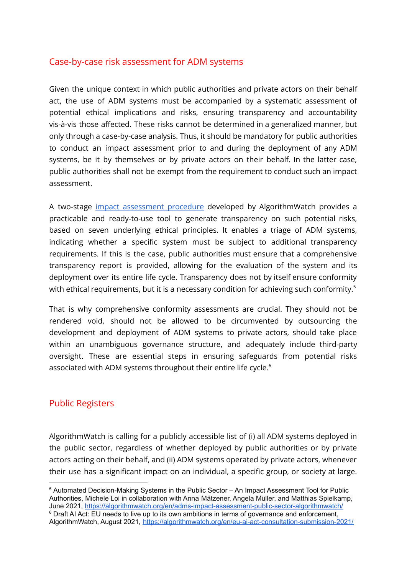## Case-by-case risk assessment for ADM systems

Given the unique context in which public authorities and private actors on their behalf act, the use of ADM systems must be accompanied by a systematic assessment of potential ethical implications and risks, ensuring transparency and accountability vis-à-vis those affected. These risks cannot be determined in a generalized manner, but only through a case-by-case analysis. Thus, it should be mandatory for public authorities to conduct an impact assessment prior to and during the deployment of any ADM systems, be it by themselves or by private actors on their behalf. In the latter case, public authorities shall not be exempt from the requirement to conduct such an impact assessment.

A two-stage impact [assessment](https://algorithmwatch.org/en/adms-impact-assessment-public-sector-algorithmwatch/) procedure developed by AlgorithmWatch provides a practicable and ready-to-use tool to generate transparency on such potential risks, based on seven underlying ethical principles. It enables a triage of ADM systems, indicating whether a specific system must be subject to additional transparency requirements. If this is the case, public authorities must ensure that a comprehensive transparency report is provided, allowing for the evaluation of the system and its deployment over its entire life cycle. Transparency does not by itself ensure conformity with ethical requirements, but it is a necessary condition for achieving such conformity. $^5$ 

That is why comprehensive conformity assessments are crucial. They should not be rendered void, should not be allowed to be circumvented by outsourcing the development and deployment of ADM systems to private actors, should take place within an unambiguous governance structure, and adequately include third-party oversight. These are essential steps in ensuring safeguards from potential risks associated with ADM systems throughout their entire life cycle. $^6$ 

## Public Registers

AlgorithmWatch is calling for a publicly accessible list of (i) all ADM systems deployed in the public sector, regardless of whether deployed by public authorities or by private actors acting on their behalf, and (ii) ADM systems operated by private actors, whenever their use has a significant impact on an individual, a specific group, or society at large.

<sup>&</sup>lt;sup>6</sup> Draft AI Act: EU needs to live up to its own ambitions in terms of governance and enforcement, AlgorithmWatch, August 2021, <https://algorithmwatch.org/en/eu-ai-act-consultation-submission-2021/> <sup>5</sup> Automated Decision-Making Systems in the Public Sector – An Impact Assessment Tool for Public Authorities, Michele Loi in collaboration with Anna Mätzener, Angela Müller, and Matthias Spielkamp, June 2021, <https://algorithmwatch.org/en/adms-impact-assessment-public-sector-algorithmwatch/>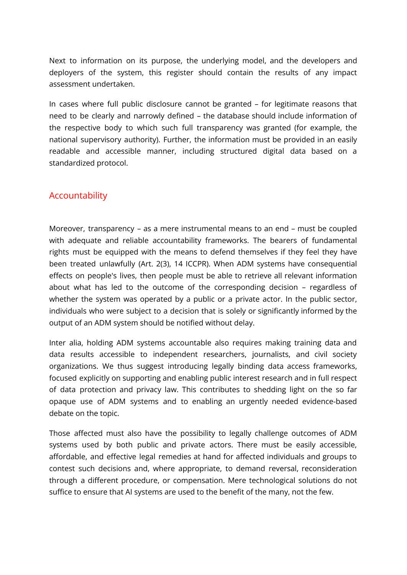Next to information on its purpose, the underlying model, and the developers and deployers of the system, this register should contain the results of any impact assessment undertaken.

In cases where full public disclosure cannot be granted – for legitimate reasons that need to be clearly and narrowly defined – the database should include information of the respective body to which such full transparency was granted (for example, the national supervisory authority). Further, the information must be provided in an easily readable and accessible manner, including structured digital data based on a standardized protocol.

#### Accountability

Moreover, transparency – as a mere instrumental means to an end – must be coupled with adequate and reliable accountability frameworks. The bearers of fundamental rights must be equipped with the means to defend themselves if they feel they have been treated unlawfully (Art. 2(3), 14 ICCPR). When ADM systems have consequential effects on people's lives, then people must be able to retrieve all relevant information about what has led to the outcome of the corresponding decision – regardless of whether the system was operated by a public or a private actor. In the public sector, individuals who were subject to a decision that is solely or significantly informed by the output of an ADM system should be notified without delay.

Inter alia, holding ADM systems accountable also requires making training data and data results accessible to independent researchers, journalists, and civil society organizations. We thus suggest introducing legally binding data access frameworks, focused explicitly on supporting and enabling public interest research and in full respect of data protection and privacy law. This contributes to shedding light on the so far opaque use of ADM systems and to enabling an urgently needed evidence-based debate on the topic.

Those affected must also have the possibility to legally challenge outcomes of ADM systems used by both public and private actors. There must be easily accessible, affordable, and effective legal remedies at hand for affected individuals and groups to contest such decisions and, where appropriate, to demand reversal, reconsideration through a different procedure, or compensation. Mere technological solutions do not suffice to ensure that AI systems are used to the benefit of the many, not the few.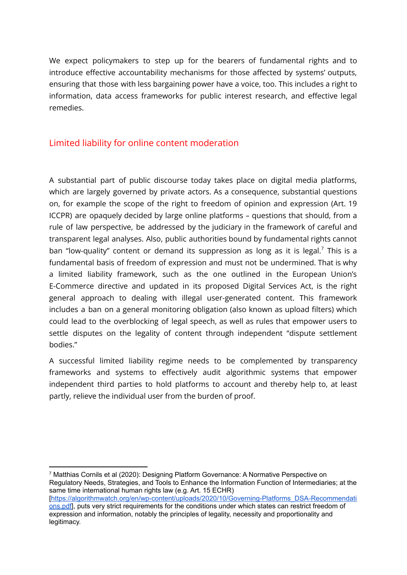We expect policymakers to step up for the bearers of fundamental rights and to introduce effective accountability mechanisms for those affected by systems' outputs, ensuring that those with less bargaining power have a voice, too. This includes a right to information, data access frameworks for public interest research, and effective legal remedies.

#### Limited liability for online content moderation

A substantial part of public discourse today takes place on digital media platforms, which are largely governed by private actors. As a consequence, substantial questions on, for example the scope of the right to freedom of opinion and expression (Art. 19 ICCPR) are opaquely decided by large online platforms – questions that should, from a rule of law perspective, be addressed by the judiciary in the framework of careful and transparent legal analyses. Also, public authorities bound by fundamental rights cannot ban "low-quality" content or demand its suppression as long as it is legal.<sup>7</sup> This is a fundamental basis of freedom of expression and must not be undermined. That is why a limited liability framework, such as the one outlined in the European Union's E-Commerce directive and updated in its proposed Digital Services Act, is the right general approach to dealing with illegal user-generated content. This framework includes a ban on a general monitoring obligation (also known as upload filters) which could lead to the overblocking of legal speech, as well as rules that empower users to settle disputes on the legality of content through independent "dispute settlement bodies."

A successful limited liability regime needs to be complemented by transparency frameworks and systems to effectively audit algorithmic systems that empower independent third parties to hold platforms to account and thereby help to, at least partly, relieve the individual user from the burden of proof.

<sup>7</sup> Matthias Cornils et al (2020): Designing Platform Governance: A Normative Perspective on Regulatory Needs, Strategies, and Tools to Enhance the Information Function of Intermediaries; at the same time international human rights law (e.g. Art. 15 ECHR) [[https://algorithmwatch.org/en/wp-content/uploads/2020/10/Governing-Platforms\\_DSA-Recommendati](https://algorithmwatch.org/en/wp-content/uploads/2020/10/Governing-Platforms_DSA-Recommendations.pdf) [ons.pdf\]](https://algorithmwatch.org/en/wp-content/uploads/2020/10/Governing-Platforms_DSA-Recommendations.pdf), puts very strict requirements for the conditions under which states can restrict freedom of expression and information, notably the principles of legality, necessity and proportionality and legitimacy.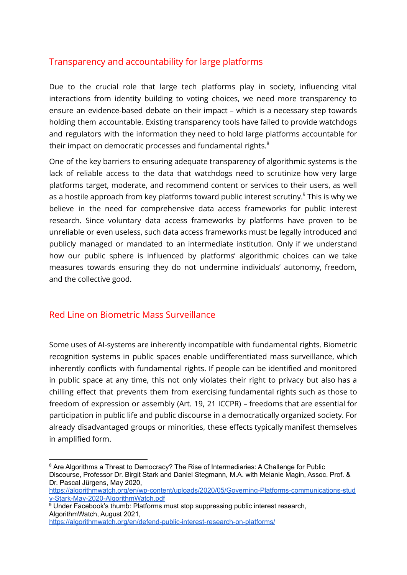## Transparency and accountability for large platforms

Due to the crucial role that large tech platforms play in society, influencing vital interactions from identity building to voting choices, we need more transparency to ensure an evidence-based debate on their impact – which is a necessary step towards holding them accountable. Existing transparency tools have failed to provide watchdogs and regulators with the information they need to hold large platforms accountable for their impact on democratic processes and fundamental rights. $^8$ 

One of the key barriers to ensuring adequate transparency of algorithmic systems is the lack of reliable access to the data that watchdogs need to scrutinize how very large platforms target, moderate, and recommend content or services to their users, as well as a hostile approach from key platforms toward public interest scrutiny. $^9$  This is why we believe in the need for comprehensive data access frameworks for public interest research. Since voluntary data access frameworks by platforms have proven to be unreliable or even useless, such data access frameworks must be legally introduced and publicly managed or mandated to an intermediate institution. Only if we understand how our public sphere is influenced by platforms' algorithmic choices can we take measures towards ensuring they do not undermine individuals' autonomy, freedom, and the collective good.

#### Red Line on Biometric Mass Surveillance

Some uses of AI-systems are inherently incompatible with fundamental rights. Biometric recognition systems in public spaces enable undifferentiated mass surveillance, which inherently conflicts with fundamental rights. If people can be identified and monitored in public space at any time, this not only violates their right to privacy but also has a chilling effect that prevents them from exercising fundamental rights such as those to freedom of expression or assembly (Art. 19, 21 ICCPR) – freedoms that are essential for participation in public life and public discourse in a democratically organized society. For already disadvantaged groups or minorities, these effects typically manifest themselves in amplified form.

<https://algorithmwatch.org/en/defend-public-interest-research-on-platforms/>

<sup>&</sup>lt;sup>8</sup> Are Algorithms a Threat to Democracy? The Rise of Intermediaries: A Challenge for Public Discourse, Professor Dr. Birgit Stark and Daniel Stegmann, M.A. with Melanie Magin, Assoc. Prof. & Dr. Pascal Jürgens, May 2020,

[https://algorithmwatch.org/en/wp-content/uploads/2020/05/Governing-Platforms-communications-stud](https://algorithmwatch.org/en/wp-content/uploads/2020/05/Governing-Platforms-communications-study-Stark-May-2020-AlgorithmWatch.pdf) [y-Stark-May-2020-AlgorithmWatch.pdf](https://algorithmwatch.org/en/wp-content/uploads/2020/05/Governing-Platforms-communications-study-Stark-May-2020-AlgorithmWatch.pdf)

<sup>9</sup> Under Facebook's thumb: Platforms must stop suppressing public interest research, AlgorithmWatch, August 2021,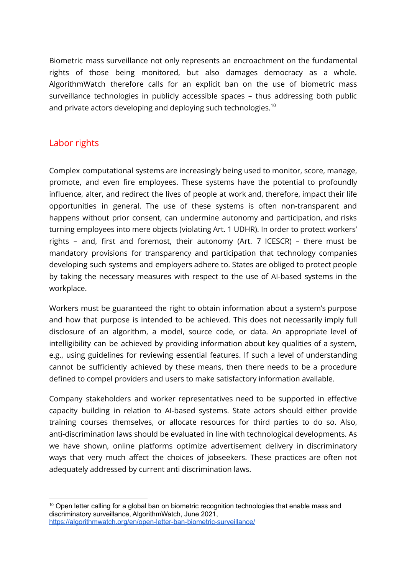Biometric mass surveillance not only represents an encroachment on the fundamental rights of those being monitored, but also damages democracy as a whole. AlgorithmWatch therefore calls for an explicit ban on the use of biometric mass surveillance technologies in publicly accessible spaces – thus addressing both public and private actors developing and deploying such technologies. $^{\rm 10}$ 

#### Labor rights

Complex computational systems are increasingly being used to monitor, score, manage, promote, and even fire employees. These systems have the potential to profoundly influence, alter, and redirect the lives of people at work and, therefore, impact their life opportunities in general. The use of these systems is often non-transparent and happens without prior consent, can undermine autonomy and participation, and risks turning employees into mere objects (violating Art. 1 UDHR). In order to protect workers' rights – and, first and foremost, their autonomy (Art. 7 ICESCR) – there must be mandatory provisions for transparency and participation that technology companies developing such systems and employers adhere to. States are obliged to protect people by taking the necessary measures with respect to the use of AI-based systems in the workplace.

Workers must be guaranteed the right to obtain information about a system's purpose and how that purpose is intended to be achieved. This does not necessarily imply full disclosure of an algorithm, a model, source code, or data. An appropriate level of intelligibility can be achieved by providing information about key qualities of a system, e.g., using guidelines for reviewing essential features. If such a level of understanding cannot be sufficiently achieved by these means, then there needs to be a procedure defined to compel providers and users to make satisfactory information available.

Company stakeholders and worker representatives need to be supported in effective capacity building in relation to AI-based systems. State actors should either provide training courses themselves, or allocate resources for third parties to do so. Also, anti-discrimination laws should be evaluated in line with technological developments. As we have shown, online platforms optimize advertisement delivery in discriminatory ways that very much affect the choices of jobseekers. These practices are often not adequately addressed by current anti discrimination laws.

<sup>&</sup>lt;sup>10</sup> Open letter calling for a global ban on biometric recognition technologies that enable mass and discriminatory surveillance, AlgorithmWatch, June 2021, <https://algorithmwatch.org/en/open-letter-ban-biometric-surveillance/>